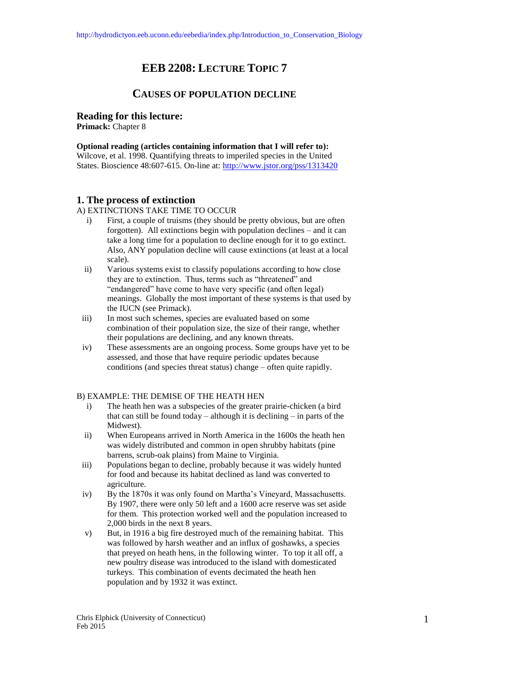# **EEB 2208: LECTURE TOPIC 7**

# **CAUSES OF POPULATION DECLINE**

#### **Reading for this lecture:**

**Primack:** Chapter 8

# **Optional reading (articles containing information that I will refer to):**

Wilcove, et al. 1998. Quantifying threats to imperiled species in the United States. Bioscience 48:607-615. On-line at:<http://www.jstor.org/pss/1313420>

## **1. The process of extinction**

A) EXTINCTIONS TAKE TIME TO OCCUR

- i) First, a couple of truisms (they should be pretty obvious, but are often forgotten). All extinctions begin with population declines – and it can take a long time for a population to decline enough for it to go extinct. Also, ANY population decline will cause extinctions (at least at a local scale).
- ii) Various systems exist to classify populations according to how close they are to extinction. Thus, terms such as "threatened" and "endangered" have come to have very specific (and often legal) meanings. Globally the most important of these systems is that used by the IUCN (see Primack).
- iii) In most such schemes, species are evaluated based on some combination of their population size, the size of their range, whether their populations are declining, and any known threats.
- iv) These assessments are an ongoing process. Some groups have yet to be assessed, and those that have require periodic updates because conditions (and species threat status) change – often quite rapidly.

## B) EXAMPLE: THE DEMISE OF THE HEATH HEN

- i) The heath hen was a subspecies of the greater prairie-chicken (a bird that can still be found today – although it is declining – in parts of the Midwest).
- ii) When Europeans arrived in North America in the 1600s the heath hen was widely distributed and common in open shrubby habitats (pine barrens, scrub-oak plains) from Maine to Virginia.
- iii) Populations began to decline, probably because it was widely hunted for food and because its habitat declined as land was converted to agriculture.
- iv) By the 1870s it was only found on Martha's Vineyard, Massachusetts. By 1907, there were only 50 left and a 1600 acre reserve was set aside for them. This protection worked well and the population increased to 2,000 birds in the next 8 years.
- v) But, in 1916 a big fire destroyed much of the remaining habitat. This was followed by harsh weather and an influx of goshawks, a species that preyed on heath hens, in the following winter. To top it all off, a new poultry disease was introduced to the island with domesticated turkeys. This combination of events decimated the heath hen population and by 1932 it was extinct.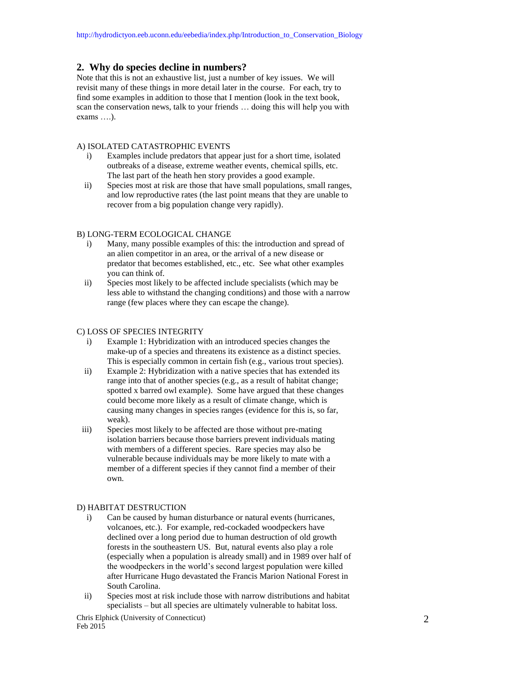## **2. Why do species decline in numbers?**

Note that this is not an exhaustive list, just a number of key issues. We will revisit many of these things in more detail later in the course. For each, try to find some examples in addition to those that I mention (look in the text book, scan the conservation news, talk to your friends … doing this will help you with exams ….).

#### A) ISOLATED CATASTROPHIC EVENTS

- i) Examples include predators that appear just for a short time, isolated outbreaks of a disease, extreme weather events, chemical spills, etc. The last part of the heath hen story provides a good example.
- ii) Species most at risk are those that have small populations, small ranges, and low reproductive rates (the last point means that they are unable to recover from a big population change very rapidly).

### B) LONG-TERM ECOLOGICAL CHANGE

- i) Many, many possible examples of this: the introduction and spread of an alien competitor in an area, or the arrival of a new disease or predator that becomes established, etc., etc. See what other examples you can think of.
- ii) Species most likely to be affected include specialists (which may be less able to withstand the changing conditions) and those with a narrow range (few places where they can escape the change).

#### C) LOSS OF SPECIES INTEGRITY

- i) Example 1: Hybridization with an introduced species changes the make-up of a species and threatens its existence as a distinct species. This is especially common in certain fish (e.g., various trout species).
- ii) Example 2: Hybridization with a native species that has extended its range into that of another species (e.g., as a result of habitat change; spotted x barred owl example). Some have argued that these changes could become more likely as a result of climate change, which is causing many changes in species ranges (evidence for this is, so far, weak).
- iii) Species most likely to be affected are those without pre-mating isolation barriers because those barriers prevent individuals mating with members of a different species. Rare species may also be vulnerable because individuals may be more likely to mate with a member of a different species if they cannot find a member of their own.

#### D) HABITAT DESTRUCTION

- i) Can be caused by human disturbance or natural events (hurricanes, volcanoes, etc.). For example, red-cockaded woodpeckers have declined over a long period due to human destruction of old growth forests in the southeastern US. But, natural events also play a role (especially when a population is already small) and in 1989 over half of the woodpeckers in the world's second largest population were killed after Hurricane Hugo devastated the Francis Marion National Forest in South Carolina.
- ii) Species most at risk include those with narrow distributions and habitat specialists – but all species are ultimately vulnerable to habitat loss.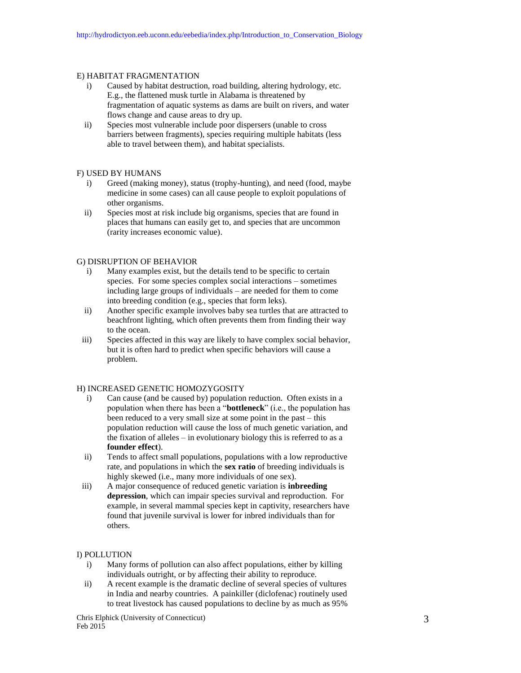#### E) HABITAT FRAGMENTATION

- i) Caused by habitat destruction, road building, altering hydrology, etc. E.g., the flattened musk turtle in Alabama is threatened by fragmentation of aquatic systems as dams are built on rivers, and water flows change and cause areas to dry up.
- ii) Species most vulnerable include poor dispersers (unable to cross barriers between fragments), species requiring multiple habitats (less able to travel between them), and habitat specialists.

#### F) USED BY HUMANS

- i) Greed (making money), status (trophy-hunting), and need (food, maybe medicine in some cases) can all cause people to exploit populations of other organisms.
- ii) Species most at risk include big organisms, species that are found in places that humans can easily get to, and species that are uncommon (rarity increases economic value).

## G) DISRUPTION OF BEHAVIOR

- i) Many examples exist, but the details tend to be specific to certain species. For some species complex social interactions – sometimes including large groups of individuals – are needed for them to come into breeding condition (e.g., species that form leks).
- ii) Another specific example involves baby sea turtles that are attracted to beachfront lighting, which often prevents them from finding their way to the ocean.
- iii) Species affected in this way are likely to have complex social behavior, but it is often hard to predict when specific behaviors will cause a problem.

## H) INCREASED GENETIC HOMOZYGOSITY

- i) Can cause (and be caused by) population reduction. Often exists in a population when there has been a "**bottleneck**" (i.e., the population has been reduced to a very small size at some point in the past – this population reduction will cause the loss of much genetic variation, and the fixation of alleles – in evolutionary biology this is referred to as a **founder effect**).
- ii) Tends to affect small populations, populations with a low reproductive rate, and populations in which the **sex ratio** of breeding individuals is highly skewed (i.e., many more individuals of one sex).
- iii) A major consequence of reduced genetic variation is **inbreeding depression**, which can impair species survival and reproduction. For example, in several mammal species kept in captivity, researchers have found that juvenile survival is lower for inbred individuals than for others.

#### I) POLLUTION

- i) Many forms of pollution can also affect populations, either by killing individuals outright, or by affecting their ability to reproduce.
- ii) A recent example is the dramatic decline of several species of vultures in India and nearby countries. A painkiller (diclofenac) routinely used to treat livestock has caused populations to decline by as much as 95%